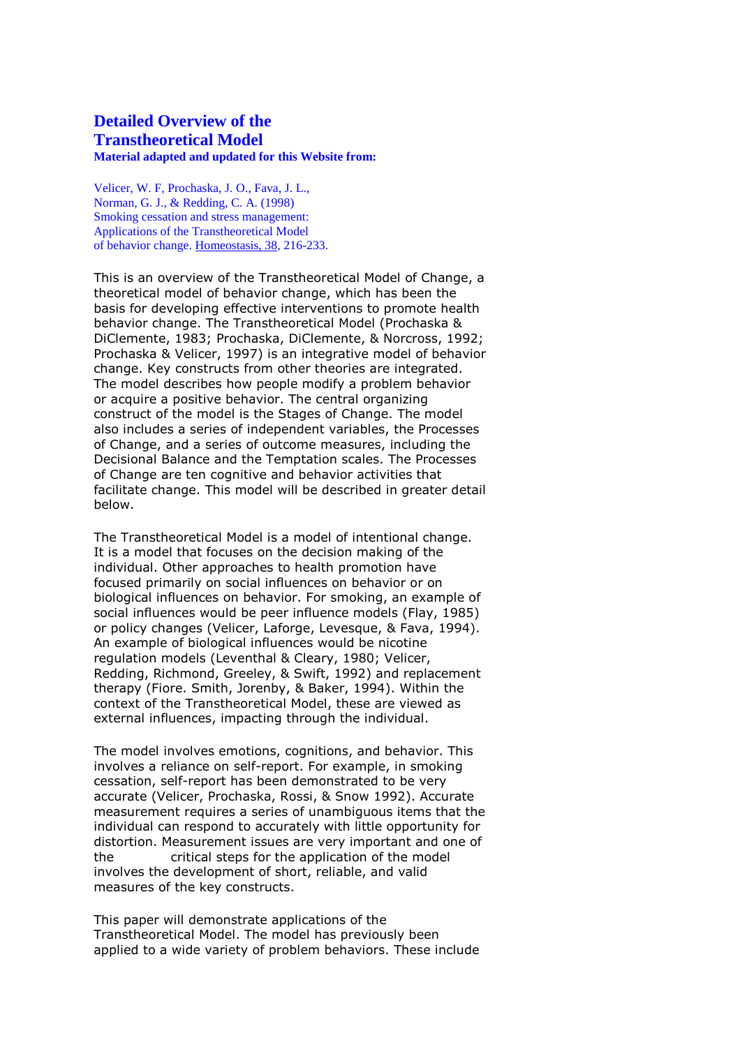# **Detailed Overview of the Transtheoretical Model**

**Material adapted and updated for this Website from:**

Velicer, W. F, Prochaska, J. O., Fava, J. L., Norman, G. J., & Redding, C. A. (1998) Smoking cessation and stress management: Applications of the Transtheoretical Model of behavior change. Homeostasis, 38, 216-233.

This is an overview of the Transtheoretical Model of Change, a theoretical model of behavior change, which has been the basis for developing effective interventions to promote health behavior change. The Transtheoretical Model (Prochaska & DiClemente, 1983; Prochaska, DiClemente, & Norcross, 1992; Prochaska & Velicer, 1997) is an integrative model of behavior change. Key constructs from other theories are integrated. The model describes how people modify a problem behavior or acquire a positive behavior. The central organizing construct of the model is the Stages of Change. The model also includes a series of independent variables, the Processes of Change, and a series of outcome measures, including the Decisional Balance and the Temptation scales. The Processes of Change are ten cognitive and behavior activities that facilitate change. This model will be described in greater detail below.

The Transtheoretical Model is a model of intentional change. It is a model that focuses on the decision making of the individual. Other approaches to health promotion have focused primarily on social influences on behavior or on biological influences on behavior. For smoking, an example of social influences would be peer influence models (Flay, 1985) or policy changes (Velicer, Laforge, Levesque, & Fava, 1994). An example of biological influences would be nicotine regulation models (Leventhal & Cleary, 1980; Velicer, Redding, Richmond, Greeley, & Swift, 1992) and replacement therapy (Fiore. Smith, Jorenby, & Baker, 1994). Within the context of the Transtheoretical Model, these are viewed as external influences, impacting through the individual.

The model involves emotions, cognitions, and behavior. This involves a reliance on self-report. For example, in smoking cessation, self-report has been demonstrated to be very accurate (Velicer, Prochaska, Rossi, & Snow 1992). Accurate measurement requires a series of unambiguous items that the individual can respond to accurately with little opportunity for distortion. Measurement issues are very important and one of the critical steps for the application of the model involves the development of short, reliable, and valid measures of the key constructs.

This paper will demonstrate applications of the Transtheoretical Model. The model has previously been applied to a wide variety of problem behaviors. These include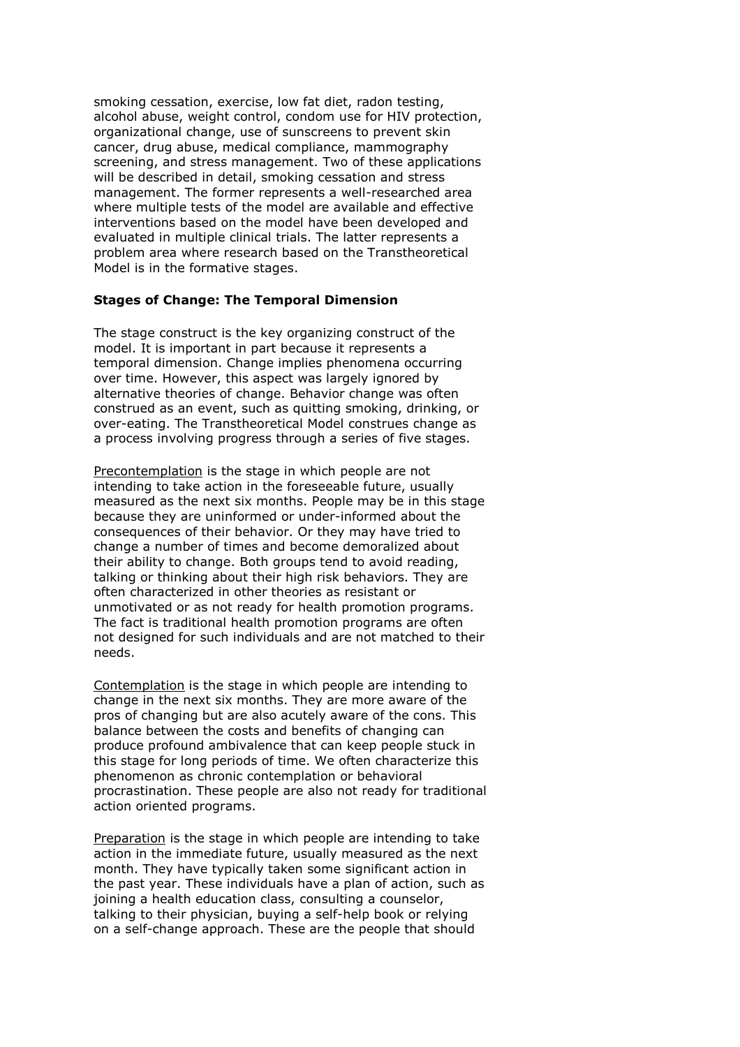smoking cessation, exercise, low fat diet, radon testing, alcohol abuse, weight control, condom use for HIV protection, organizational change, use of sunscreens to prevent skin cancer, drug abuse, medical compliance, mammography screening, and stress management. Two of these applications will be described in detail, smoking cessation and stress management. The former represents a well-researched area where multiple tests of the model are available and effective interventions based on the model have been developed and evaluated in multiple clinical trials. The latter represents a problem area where research based on the Transtheoretical Model is in the formative stages.

#### **Stages of Change: The Temporal Dimension**

The stage construct is the key organizing construct of the model. It is important in part because it represents a temporal dimension. Change implies phenomena occurring over time. However, this aspect was largely ignored by alternative theories of change. Behavior change was often construed as an event, such as quitting smoking, drinking, or over-eating. The Transtheoretical Model construes change as a process involving progress through a series of five stages.

Precontemplation is the stage in which people are not intending to take action in the foreseeable future, usually measured as the next six months. People may be in this stage because they are uninformed or under-informed about the consequences of their behavior. Or they may have tried to change a number of times and become demoralized about their ability to change. Both groups tend to avoid reading, talking or thinking about their high risk behaviors. They are often characterized in other theories as resistant or unmotivated or as not ready for health promotion programs. The fact is traditional health promotion programs are often not designed for such individuals and are not matched to their needs.

Contemplation is the stage in which people are intending to change in the next six months. They are more aware of the pros of changing but are also acutely aware of the cons. This balance between the costs and benefits of changing can produce profound ambivalence that can keep people stuck in this stage for long periods of time. We often characterize this phenomenon as chronic contemplation or behavioral procrastination. These people are also not ready for traditional action oriented programs.

Preparation is the stage in which people are intending to take action in the immediate future, usually measured as the next month. They have typically taken some significant action in the past year. These individuals have a plan of action, such as joining a health education class, consulting a counselor, talking to their physician, buying a self-help book or relying on a self-change approach. These are the people that should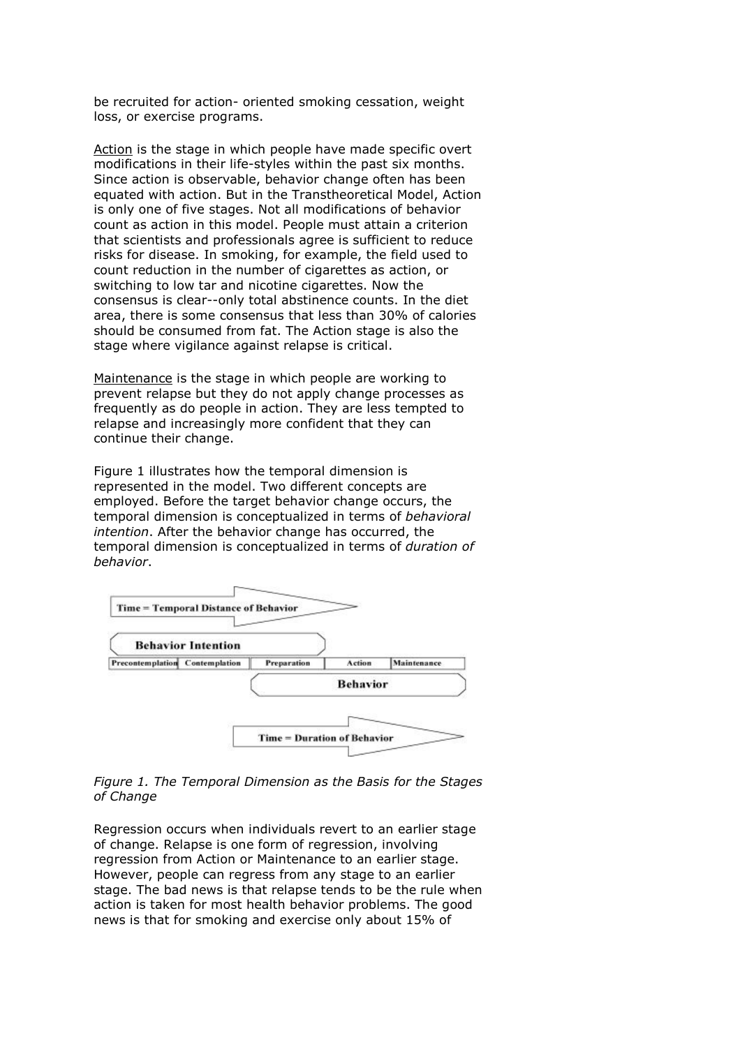be recruited for action- oriented smoking cessation, weight loss, or exercise programs.

Action is the stage in which people have made specific overt modifications in their life-styles within the past six months. Since action is observable, behavior change often has been equated with action. But in the Transtheoretical Model, Action is only one of five stages. Not all modifications of behavior count as action in this model. People must attain a criterion that scientists and professionals agree is sufficient to reduce risks for disease. In smoking, for example, the field used to count reduction in the number of cigarettes as action, or switching to low tar and nicotine cigarettes. Now the consensus is clear--only total abstinence counts. In the diet area, there is some consensus that less than 30% of calories should be consumed from fat. The Action stage is also the stage where vigilance against relapse is critical.

Maintenance is the stage in which people are working to prevent relapse but they do not apply change processes as frequently as do people in action. They are less tempted to relapse and increasingly more confident that they can continue their change.

Figure 1 illustrates how the temporal dimension is represented in the model. Two different concepts are employed. Before the target behavior change occurs, the temporal dimension is conceptualized in terms of *behavioral intention*. After the behavior change has occurred, the temporal dimension is conceptualized in terms of *duration of behavior*.



### *Figure 1. The Temporal Dimension as the Basis for the Stages of Change*

Regression occurs when individuals revert to an earlier stage of change. Relapse is one form of regression, involving regression from Action or Maintenance to an earlier stage. However, people can regress from any stage to an earlier stage. The bad news is that relapse tends to be the rule when action is taken for most health behavior problems. The good news is that for smoking and exercise only about 15% of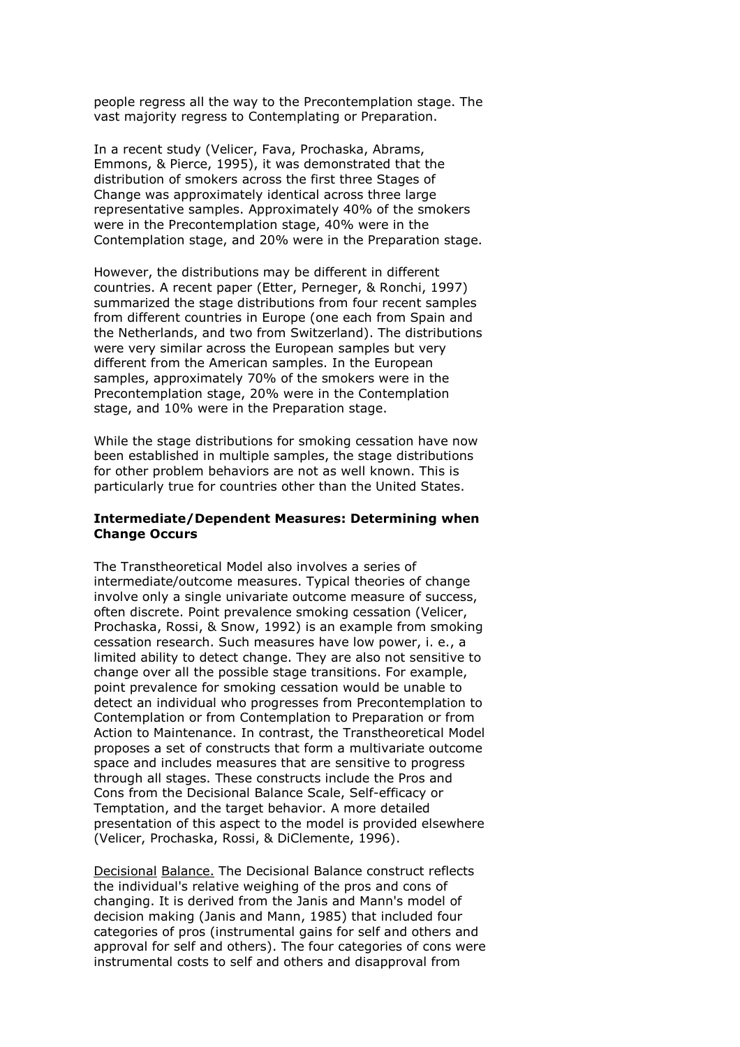people regress all the way to the Precontemplation stage. The vast majority regress to Contemplating or Preparation.

In a recent study (Velicer, Fava, Prochaska, Abrams, Emmons, & Pierce, 1995), it was demonstrated that the distribution of smokers across the first three Stages of Change was approximately identical across three large representative samples. Approximately 40% of the smokers were in the Precontemplation stage, 40% were in the Contemplation stage, and 20% were in the Preparation stage.

However, the distributions may be different in different countries. A recent paper (Etter, Perneger, & Ronchi, 1997) summarized the stage distributions from four recent samples from different countries in Europe (one each from Spain and the Netherlands, and two from Switzerland). The distributions were very similar across the European samples but very different from the American samples. In the European samples, approximately 70% of the smokers were in the Precontemplation stage, 20% were in the Contemplation stage, and 10% were in the Preparation stage.

While the stage distributions for smoking cessation have now been established in multiple samples, the stage distributions for other problem behaviors are not as well known. This is particularly true for countries other than the United States.

### **Intermediate/Dependent Measures: Determining when Change Occurs**

The Transtheoretical Model also involves a series of intermediate/outcome measures. Typical theories of change involve only a single univariate outcome measure of success, often discrete. Point prevalence smoking cessation (Velicer, Prochaska, Rossi, & Snow, 1992) is an example from smoking cessation research. Such measures have low power, i. e., a limited ability to detect change. They are also not sensitive to change over all the possible stage transitions. For example, point prevalence for smoking cessation would be unable to detect an individual who progresses from Precontemplation to Contemplation or from Contemplation to Preparation or from Action to Maintenance. In contrast, the Transtheoretical Model proposes a set of constructs that form a multivariate outcome space and includes measures that are sensitive to progress through all stages. These constructs include the Pros and Cons from the Decisional Balance Scale, Self-efficacy or Temptation, and the target behavior. A more detailed presentation of this aspect to the model is provided elsewhere (Velicer, Prochaska, Rossi, & DiClemente, 1996).

Decisional Balance. The Decisional Balance construct reflects the individual's relative weighing of the pros and cons of changing. It is derived from the Janis and Mann's model of decision making (Janis and Mann, 1985) that included four categories of pros (instrumental gains for self and others and approval for self and others). The four categories of cons were instrumental costs to self and others and disapproval from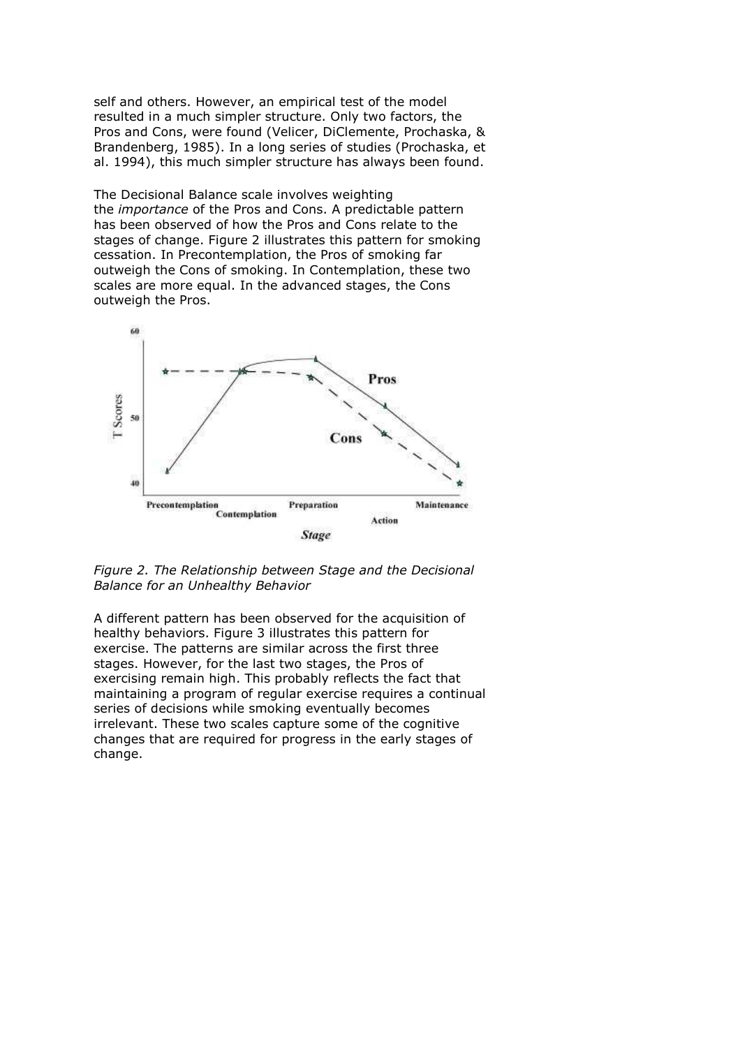self and others. However, an empirical test of the model resulted in a much simpler structure. Only two factors, the Pros and Cons, were found (Velicer, DiClemente, Prochaska, & Brandenberg, 1985). In a long series of studies (Prochaska, et al. 1994), this much simpler structure has always been found.

The Decisional Balance scale involves weighting the *importance* of the Pros and Cons. A predictable pattern has been observed of how the Pros and Cons relate to the stages of change. Figure 2 illustrates this pattern for smoking cessation. In Precontemplation, the Pros of smoking far outweigh the Cons of smoking. In Contemplation, these two scales are more equal. In the advanced stages, the Cons outweigh the Pros.



*Figure 2. The Relationship between Stage and the Decisional Balance for an Unhealthy Behavior*

A different pattern has been observed for the acquisition of healthy behaviors. Figure 3 illustrates this pattern for exercise. The patterns are similar across the first three stages. However, for the last two stages, the Pros of exercising remain high. This probably reflects the fact that maintaining a program of regular exercise requires a continual series of decisions while smoking eventually becomes irrelevant. These two scales capture some of the cognitive changes that are required for progress in the early stages of change.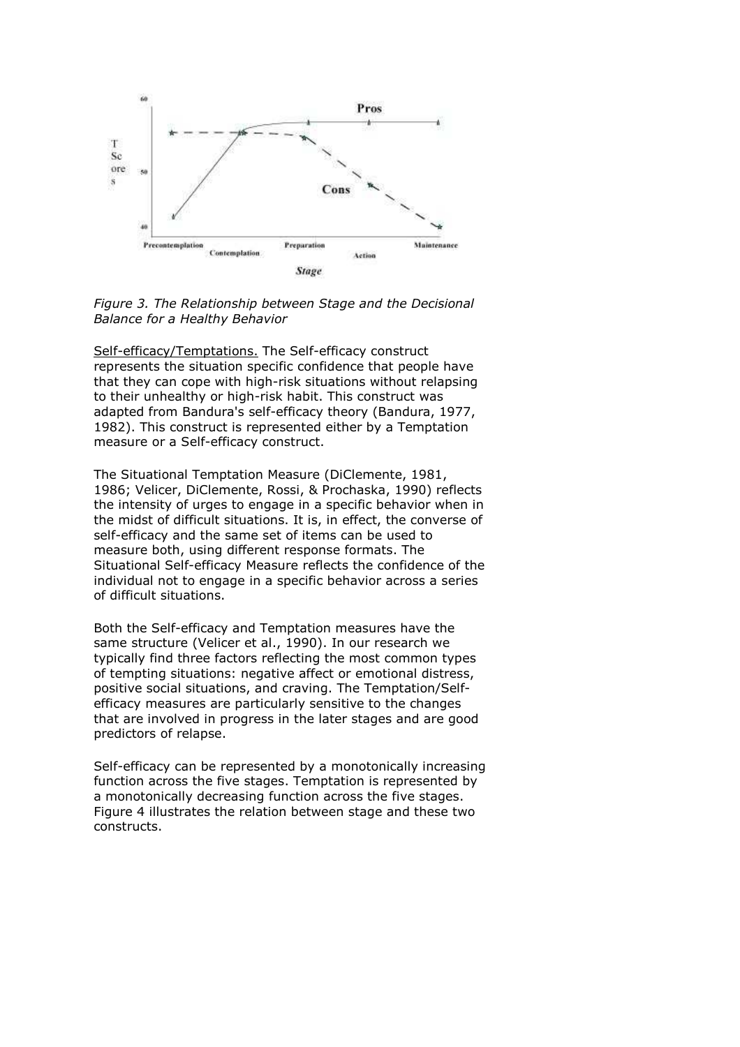

*Figure 3. The Relationship between Stage and the Decisional Balance for a Healthy Behavior*

Self-efficacy/Temptations. The Self-efficacy construct represents the situation specific confidence that people have that they can cope with high-risk situations without relapsing to their unhealthy or high-risk habit. This construct was adapted from Bandura's self-efficacy theory (Bandura, 1977, 1982). This construct is represented either by a Temptation measure or a Self-efficacy construct.

The Situational Temptation Measure (DiClemente, 1981, 1986; Velicer, DiClemente, Rossi, & Prochaska, 1990) reflects the intensity of urges to engage in a specific behavior when in the midst of difficult situations. It is, in effect, the converse of self-efficacy and the same set of items can be used to measure both, using different response formats. The Situational Self-efficacy Measure reflects the confidence of the individual not to engage in a specific behavior across a series of difficult situations.

Both the Self-efficacy and Temptation measures have the same structure (Velicer et al., 1990). In our research we typically find three factors reflecting the most common types of tempting situations: negative affect or emotional distress, positive social situations, and craving. The Temptation/Selfefficacy measures are particularly sensitive to the changes that are involved in progress in the later stages and are good predictors of relapse.

Self-efficacy can be represented by a monotonically increasing function across the five stages. Temptation is represented by a monotonically decreasing function across the five stages. Figure 4 illustrates the relation between stage and these two constructs.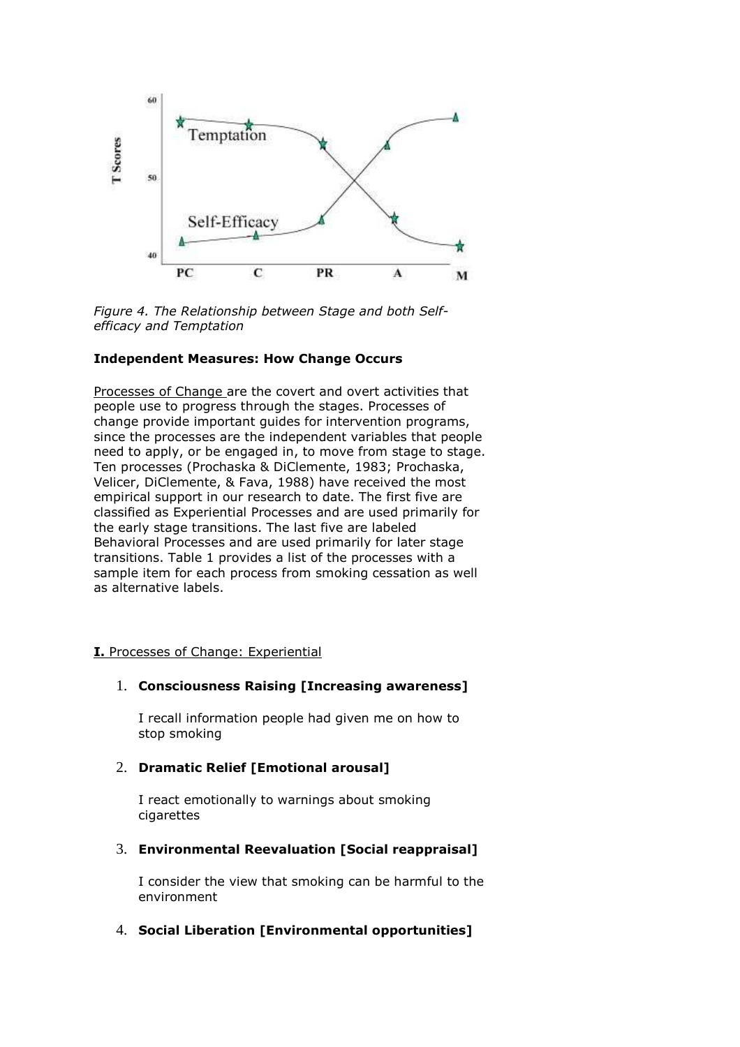

*Figure 4. The Relationship between Stage and both Selfefficacy and Temptation*

## **Independent Measures: How Change Occurs**

Processes of Change are the covert and overt activities that people use to progress through the stages. Processes of change provide important guides for intervention programs, since the processes are the independent variables that people need to apply, or be engaged in, to move from stage to stage. Ten processes (Prochaska & DiClemente, 1983; Prochaska, Velicer, DiClemente, & Fava, 1988) have received the most empirical support in our research to date. The first five are classified as Experiential Processes and are used primarily for the early stage transitions. The last five are labeled Behavioral Processes and are used primarily for later stage transitions. Table 1 provides a list of the processes with a sample item for each process from smoking cessation as well as alternative labels.

### **I.** Processes of Change: Experiential

### 1. **Consciousness Raising [Increasing awareness]**

I recall information people had given me on how to stop smoking

# 2. **Dramatic Relief [Emotional arousal]**

I react emotionally to warnings about smoking cigarettes

# 3. **Environmental Reevaluation [Social reappraisal]**

I consider the view that smoking can be harmful to the environment

# 4. **Social Liberation [Environmental opportunities]**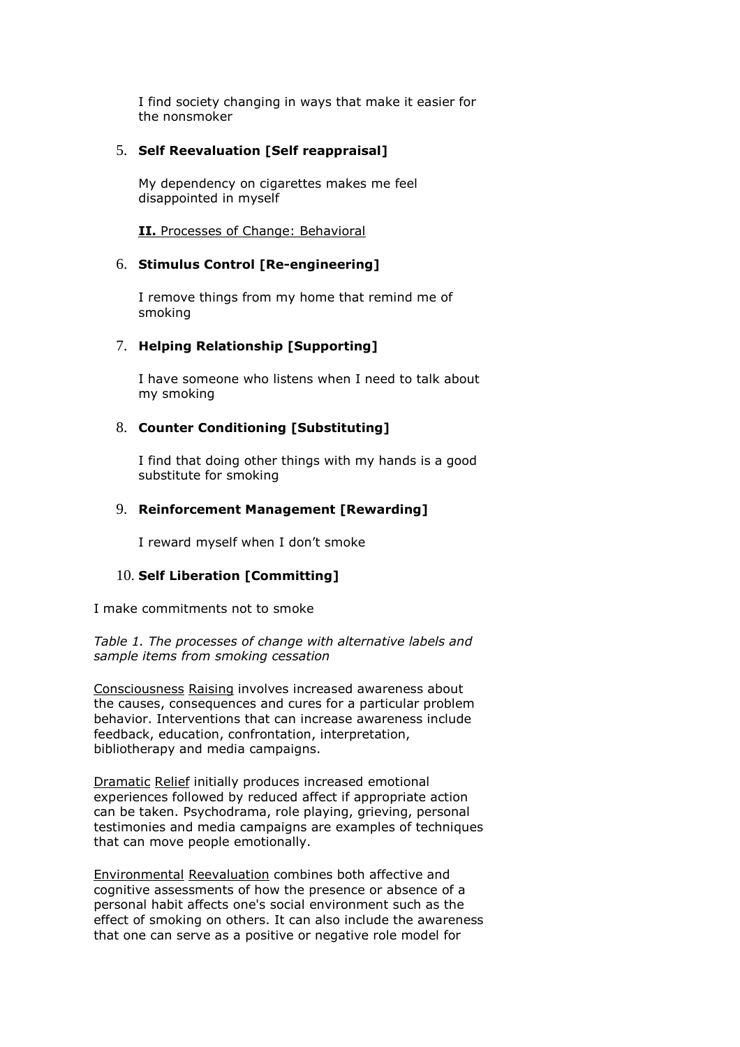I find society changing in ways that make it easier for the nonsmoker

# 5. **Self Reevaluation [Self reappraisal]**

My dependency on cigarettes makes me feel disappointed in myself

**II.** Processes of Change: Behavioral

## 6. **Stimulus Control [Re-engineering]**

I remove things from my home that remind me of smoking

## 7. **Helping Relationship [Supporting]**

I have someone who listens when I need to talk about my smoking

## 8. **Counter Conditioning [Substituting]**

I find that doing other things with my hands is a good substitute for smoking

## 9. **Reinforcement Management [Rewarding]**

I reward myself when I don't smoke

# 10. **Self Liberation [Committing]**

I make commitments not to smoke

*Table 1. The processes of change with alternative labels and sample items from smoking cessation*

Consciousness Raising involves increased awareness about the causes, consequences and cures for a particular problem behavior. Interventions that can increase awareness include feedback, education, confrontation, interpretation, bibliotherapy and media campaigns.

Dramatic Relief initially produces increased emotional experiences followed by reduced affect if appropriate action can be taken. Psychodrama, role playing, grieving, personal testimonies and media campaigns are examples of techniques that can move people emotionally.

Environmental Reevaluation combines both affective and cognitive assessments of how the presence or absence of a personal habit affects one's social environment such as the effect of smoking on others. It can also include the awareness that one can serve as a positive or negative role model for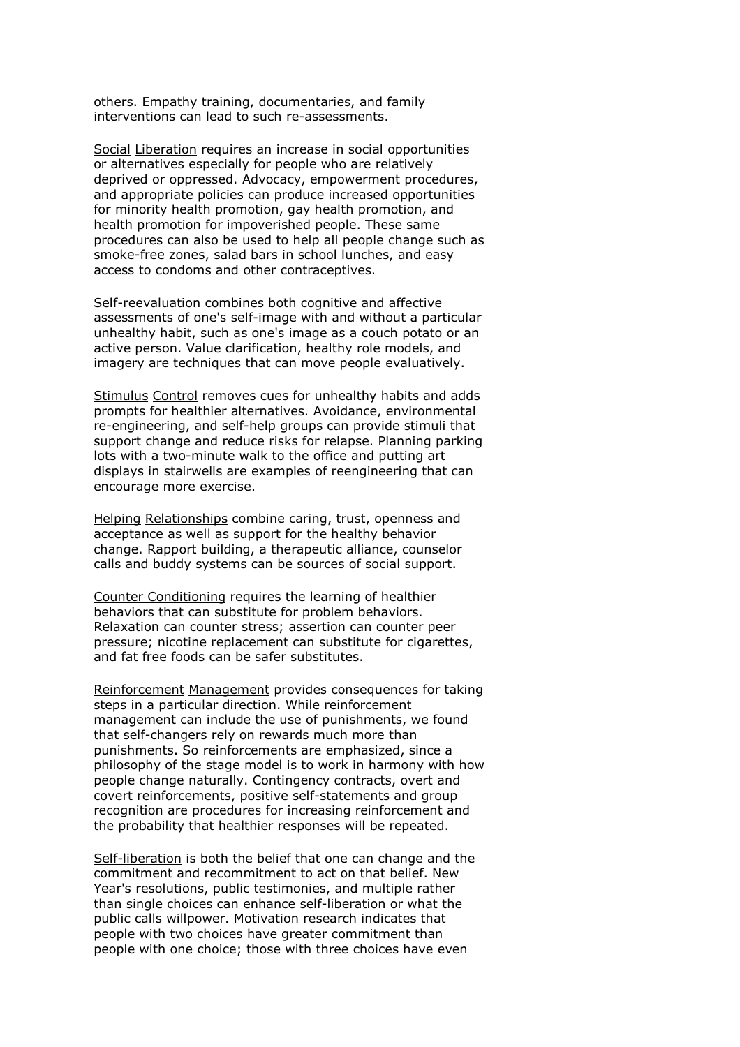others. Empathy training, documentaries, and family interventions can lead to such re-assessments.

Social Liberation requires an increase in social opportunities or alternatives especially for people who are relatively deprived or oppressed. Advocacy, empowerment procedures, and appropriate policies can produce increased opportunities for minority health promotion, gay health promotion, and health promotion for impoverished people. These same procedures can also be used to help all people change such as smoke-free zones, salad bars in school lunches, and easy access to condoms and other contraceptives.

Self-reevaluation combines both cognitive and affective assessments of one's self-image with and without a particular unhealthy habit, such as one's image as a couch potato or an active person. Value clarification, healthy role models, and imagery are techniques that can move people evaluatively.

Stimulus Control removes cues for unhealthy habits and adds prompts for healthier alternatives. Avoidance, environmental re-engineering, and self-help groups can provide stimuli that support change and reduce risks for relapse. Planning parking lots with a two-minute walk to the office and putting art displays in stairwells are examples of reengineering that can encourage more exercise.

Helping Relationships combine caring, trust, openness and acceptance as well as support for the healthy behavior change. Rapport building, a therapeutic alliance, counselor calls and buddy systems can be sources of social support.

Counter Conditioning requires the learning of healthier behaviors that can substitute for problem behaviors. Relaxation can counter stress; assertion can counter peer pressure; nicotine replacement can substitute for cigarettes, and fat free foods can be safer substitutes.

Reinforcement Management provides consequences for taking steps in a particular direction. While reinforcement management can include the use of punishments, we found that self-changers rely on rewards much more than punishments. So reinforcements are emphasized, since a philosophy of the stage model is to work in harmony with how people change naturally. Contingency contracts, overt and covert reinforcements, positive self-statements and group recognition are procedures for increasing reinforcement and the probability that healthier responses will be repeated.

Self-liberation is both the belief that one can change and the commitment and recommitment to act on that belief. New Year's resolutions, public testimonies, and multiple rather than single choices can enhance self-liberation or what the public calls willpower. Motivation research indicates that people with two choices have greater commitment than people with one choice; those with three choices have even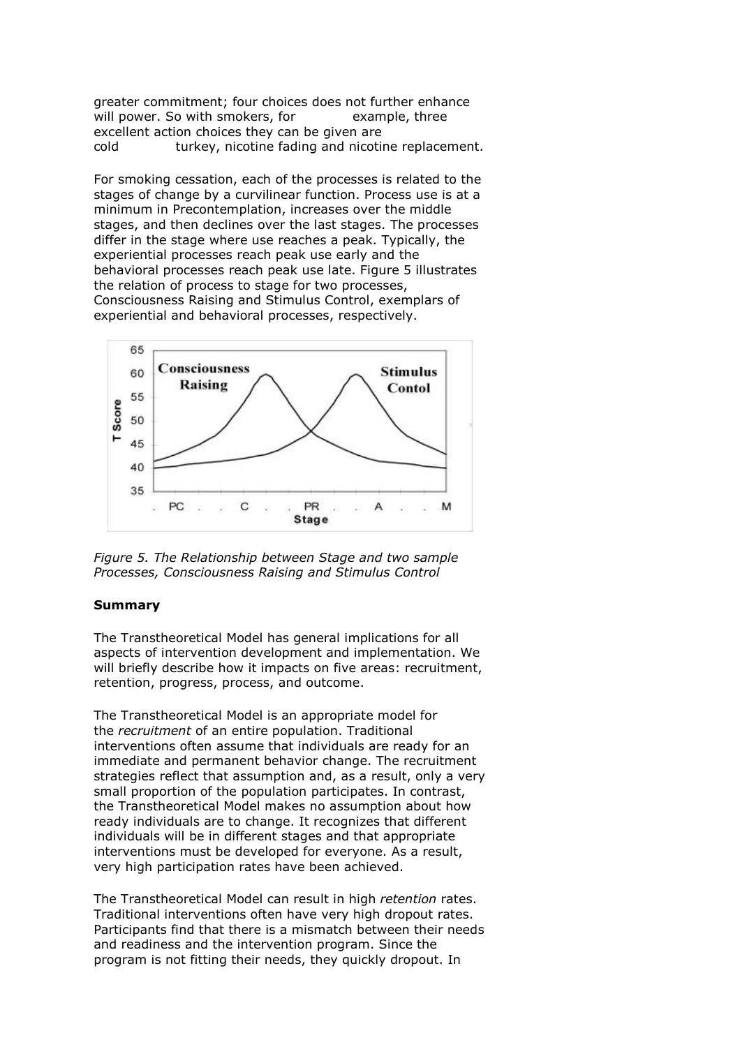greater commitment; four choices does not further enhance will power. So with smokers, for example, three excellent action choices they can be given are cold turkey, nicotine fading and nicotine replacement.

For smoking cessation, each of the processes is related to the stages of change by a curvilinear function. Process use is at a minimum in Precontemplation, increases over the middle stages, and then declines over the last stages. The processes differ in the stage where use reaches a peak. Typically, the experiential processes reach peak use early and the behavioral processes reach peak use late. Figure 5 illustrates the relation of process to stage for two processes, Consciousness Raising and Stimulus Control, exemplars of experiential and behavioral processes, respectively.



*Figure 5. The Relationship between Stage and two sample Processes, Consciousness Raising and Stimulus Control*

### **Summary**

The Transtheoretical Model has general implications for all aspects of intervention development and implementation. We will briefly describe how it impacts on five areas: recruitment, retention, progress, process, and outcome.

The Transtheoretical Model is an appropriate model for the *recruitment* of an entire population. Traditional interventions often assume that individuals are ready for an immediate and permanent behavior change. The recruitment strategies reflect that assumption and, as a result, only a very small proportion of the population participates. In contrast, the Transtheoretical Model makes no assumption about how ready individuals are to change. It recognizes that different individuals will be in different stages and that appropriate interventions must be developed for everyone. As a result, very high participation rates have been achieved.

The Transtheoretical Model can result in high *retention* rates. Traditional interventions often have very high dropout rates. Participants find that there is a mismatch between their needs and readiness and the intervention program. Since the program is not fitting their needs, they quickly dropout. In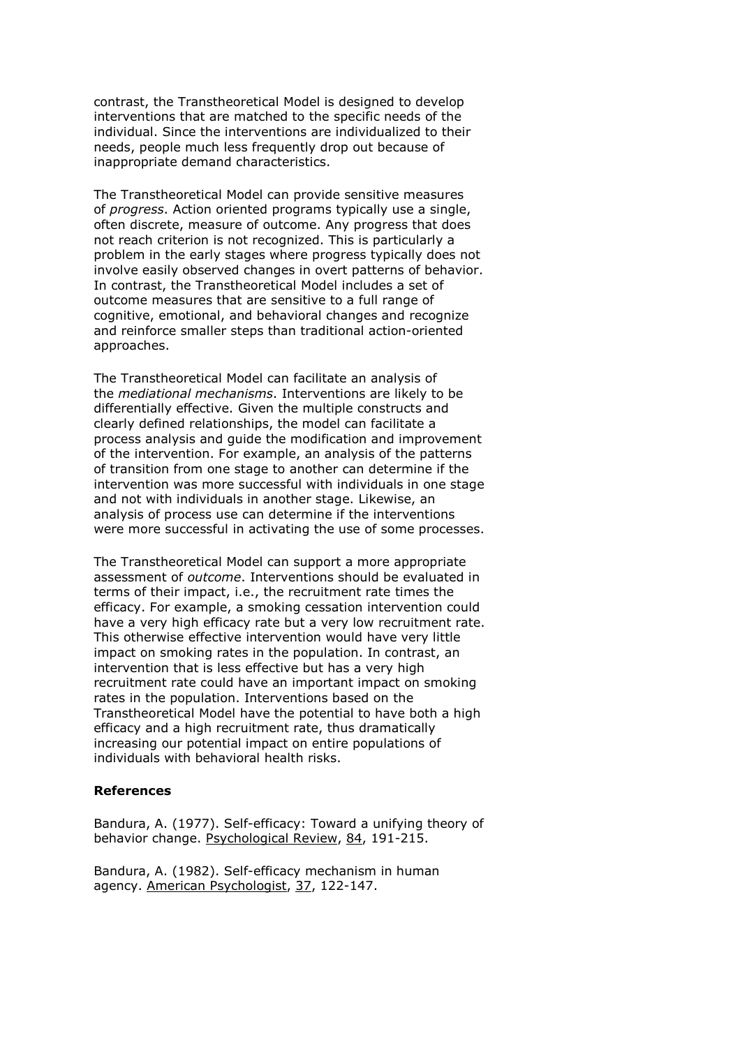contrast, the Transtheoretical Model is designed to develop interventions that are matched to the specific needs of the individual. Since the interventions are individualized to their needs, people much less frequently drop out because of inappropriate demand characteristics.

The Transtheoretical Model can provide sensitive measures of *progress*. Action oriented programs typically use a single, often discrete, measure of outcome. Any progress that does not reach criterion is not recognized. This is particularly a problem in the early stages where progress typically does not involve easily observed changes in overt patterns of behavior. In contrast, the Transtheoretical Model includes a set of outcome measures that are sensitive to a full range of cognitive, emotional, and behavioral changes and recognize and reinforce smaller steps than traditional action-oriented approaches.

The Transtheoretical Model can facilitate an analysis of the *mediational mechanisms*. Interventions are likely to be differentially effective. Given the multiple constructs and clearly defined relationships, the model can facilitate a process analysis and guide the modification and improvement of the intervention. For example, an analysis of the patterns of transition from one stage to another can determine if the intervention was more successful with individuals in one stage and not with individuals in another stage. Likewise, an analysis of process use can determine if the interventions were more successful in activating the use of some processes.

The Transtheoretical Model can support a more appropriate assessment of *outcome*. Interventions should be evaluated in terms of their impact, i.e., the recruitment rate times the efficacy. For example, a smoking cessation intervention could have a very high efficacy rate but a very low recruitment rate. This otherwise effective intervention would have very little impact on smoking rates in the population. In contrast, an intervention that is less effective but has a very high recruitment rate could have an important impact on smoking rates in the population. Interventions based on the Transtheoretical Model have the potential to have both a high efficacy and a high recruitment rate, thus dramatically increasing our potential impact on entire populations of individuals with behavioral health risks.

#### **References**

Bandura, A. (1977). Self-efficacy: Toward a unifying theory of behavior change. Psychological Review, 84, 191-215.

Bandura, A. (1982). Self-efficacy mechanism in human agency. American Psychologist, 37, 122-147.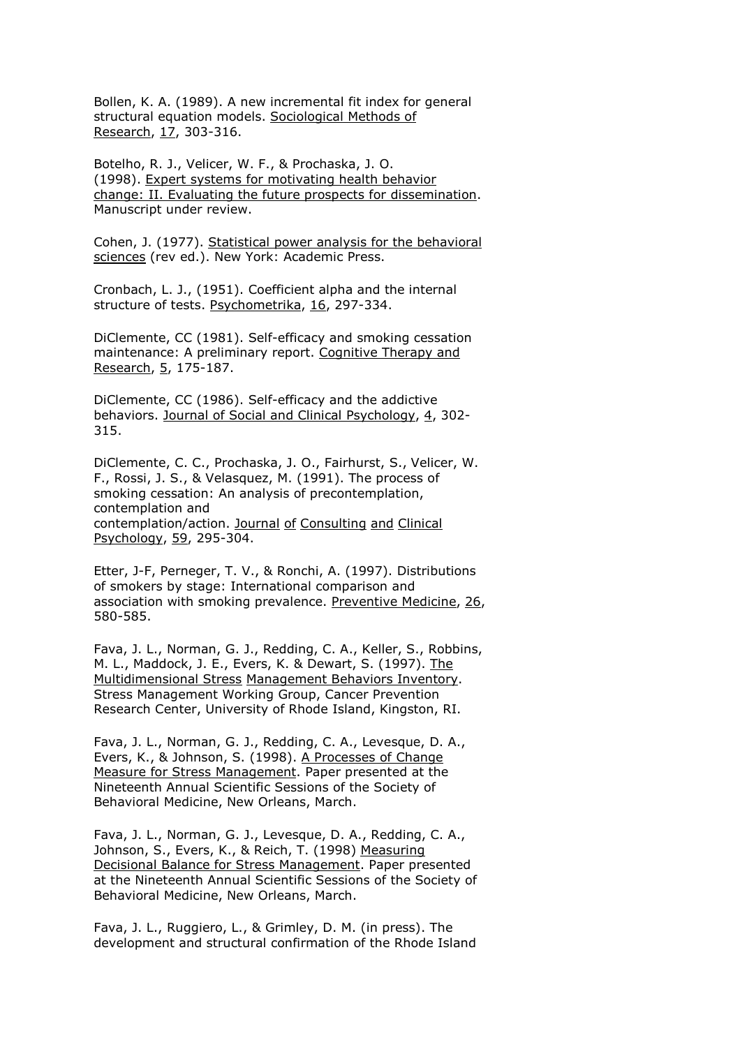Bollen, K. A. (1989). A new incremental fit index for general structural equation models. Sociological Methods of Research, 17, 303-316.

Botelho, R. J., Velicer, W. F., & Prochaska, J. O. (1998). Expert systems for motivating health behavior change: II. Evaluating the future prospects for dissemination. Manuscript under review.

Cohen, J. (1977). Statistical power analysis for the behavioral sciences (rev ed.). New York: Academic Press.

Cronbach, L. J., (1951). Coefficient alpha and the internal structure of tests. Psychometrika, 16, 297-334.

DiClemente, CC (1981). Self-efficacy and smoking cessation maintenance: A preliminary report. Cognitive Therapy and Research, 5, 175-187.

DiClemente, CC (1986). Self-efficacy and the addictive behaviors. Journal of Social and Clinical Psychology, 4, 302- 315.

DiClemente, C. C., Prochaska, J. O., Fairhurst, S., Velicer, W. F., Rossi, J. S., & Velasquez, M. (1991). The process of smoking cessation: An analysis of precontemplation, contemplation and contemplation/action. Journal of Consulting and Clinical Psychology, 59, 295-304.

Etter, J-F, Perneger, T. V., & Ronchi, A. (1997). Distributions of smokers by stage: International comparison and association with smoking prevalence. Preventive Medicine, 26, 580-585.

Fava, J. L., Norman, G. J., Redding, C. A., Keller, S., Robbins, M. L., Maddock, J. E., Evers, K. & Dewart, S. (1997). The Multidimensional Stress Management Behaviors Inventory. Stress Management Working Group, Cancer Prevention Research Center, University of Rhode Island, Kingston, RI.

Fava, J. L., Norman, G. J., Redding, C. A., Levesque, D. A., Evers, K., & Johnson, S. (1998). A Processes of Change Measure for Stress Management. Paper presented at the Nineteenth Annual Scientific Sessions of the Society of Behavioral Medicine, New Orleans, March.

Fava, J. L., Norman, G. J., Levesque, D. A., Redding, C. A., Johnson, S., Evers, K., & Reich, T. (1998) Measuring Decisional Balance for Stress Management. Paper presented at the Nineteenth Annual Scientific Sessions of the Society of Behavioral Medicine, New Orleans, March.

Fava, J. L., Ruggiero, L., & Grimley, D. M. (in press). The development and structural confirmation of the Rhode Island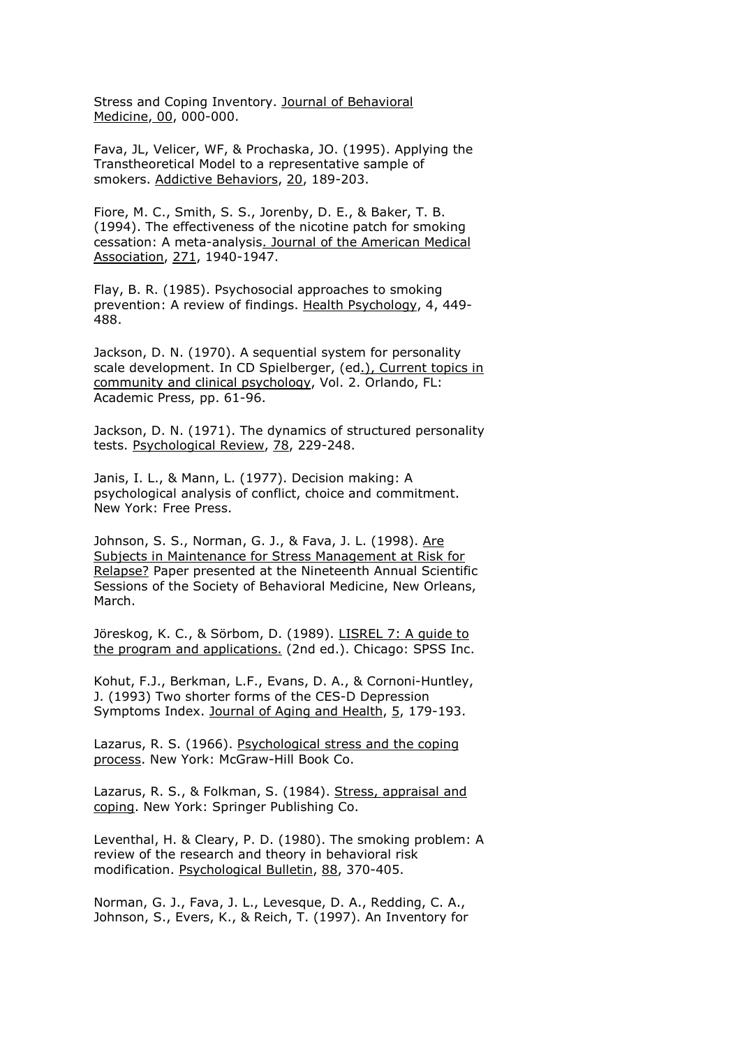Stress and Coping Inventory. Journal of Behavioral Medicine, 00, 000-000.

Fava, JL, Velicer, WF, & Prochaska, JO. (1995). Applying the Transtheoretical Model to a representative sample of smokers. Addictive Behaviors, 20, 189-203.

Fiore, M. C., Smith, S. S., Jorenby, D. E., & Baker, T. B. (1994). The effectiveness of the nicotine patch for smoking cessation: A meta-analysis. Journal of the American Medical Association, 271, 1940-1947.

Flay, B. R. (1985). Psychosocial approaches to smoking prevention: A review of findings. Health Psychology, 4, 449- 488.

Jackson, D. N. (1970). A sequential system for personality scale development. In CD Spielberger, (ed.), Current topics in community and clinical psychology, Vol. 2. Orlando, FL: Academic Press, pp. 61-96.

Jackson, D. N. (1971). The dynamics of structured personality tests. Psychological Review, 78, 229-248.

Janis, I. L., & Mann, L. (1977). Decision making: A psychological analysis of conflict, choice and commitment. New York: Free Press.

Johnson, S. S., Norman, G. J., & Fava, J. L. (1998). Are Subjects in Maintenance for Stress Management at Risk for Relapse? Paper presented at the Nineteenth Annual Scientific Sessions of the Society of Behavioral Medicine, New Orleans, March.

Jöreskog, K. C., & Sörbom, D. (1989). LISREL 7: A guide to the program and applications. (2nd ed.). Chicago: SPSS Inc.

Kohut, F.J., Berkman, L.F., Evans, D. A., & Cornoni-Huntley, J. (1993) Two shorter forms of the CES-D Depression Symptoms Index. Journal of Aging and Health, 5, 179-193.

Lazarus, R. S. (1966). Psychological stress and the coping process. New York: McGraw-Hill Book Co.

Lazarus, R. S., & Folkman, S. (1984). Stress, appraisal and coping. New York: Springer Publishing Co.

Leventhal, H. & Cleary, P. D. (1980). The smoking problem: A review of the research and theory in behavioral risk modification. Psychological Bulletin, 88, 370-405.

Norman, G. J., Fava, J. L., Levesque, D. A., Redding, C. A., Johnson, S., Evers, K., & Reich, T. (1997). An Inventory for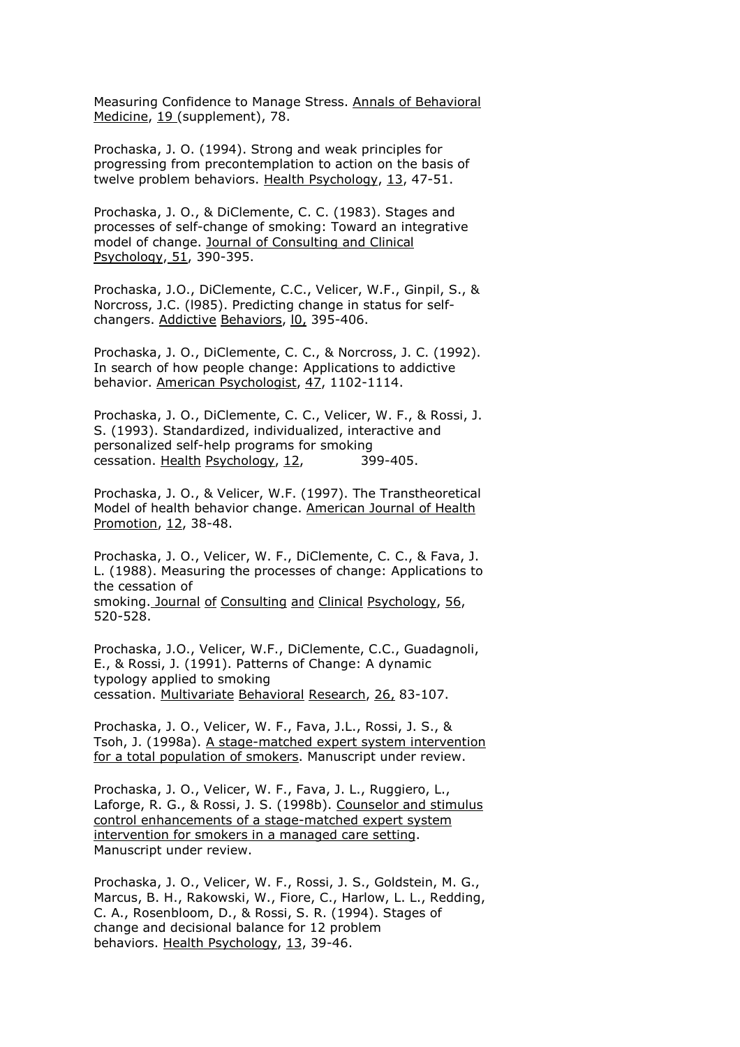Measuring Confidence to Manage Stress. Annals of Behavioral Medicine, 19 (supplement), 78.

Prochaska, J. O. (1994). Strong and weak principles for progressing from precontemplation to action on the basis of twelve problem behaviors. Health Psychology, 13, 47-51.

Prochaska, J. O., & DiClemente, C. C. (1983). Stages and processes of self-change of smoking: Toward an integrative model of change. Journal of Consulting and Clinical Psychology, 51, 390-395.

Prochaska, J.O., DiClemente, C.C., Velicer, W.F., Ginpil, S., & Norcross, J.C. (l985). Predicting change in status for selfchangers. Addictive Behaviors, IO, 395-406.

Prochaska, J. O., DiClemente, C. C., & Norcross, J. C. (1992). In search of how people change: Applications to addictive behavior. American Psychologist, 47, 1102-1114.

Prochaska, J. O., DiClemente, C. C., Velicer, W. F., & Rossi, J. S. (1993). Standardized, individualized, interactive and personalized self-help programs for smoking cessation. Health Psychology, 12, 399-405.

Prochaska, J. O., & Velicer, W.F. (1997). The Transtheoretical Model of health behavior change. American Journal of Health Promotion, 12, 38-48.

Prochaska, J. O., Velicer, W. F., DiClemente, C. C., & Fava, J. L. (1988). Measuring the processes of change: Applications to the cessation of smoking. Journal of Consulting and Clinical Psychology, 56, 520-528.

Prochaska, J.O., Velicer, W.F., DiClemente, C.C., Guadagnoli, E., & Rossi, J. (1991). Patterns of Change: A dynamic typology applied to smoking cessation. Multivariate Behavioral Research, 26, 83-107.

Prochaska, J. O., Velicer, W. F., Fava, J.L., Rossi, J. S., & Tsoh, J. (1998a). A stage-matched expert system intervention for a total population of smokers. Manuscript under review.

Prochaska, J. O., Velicer, W. F., Fava, J. L., Ruggiero, L., Laforge, R. G., & Rossi, J. S. (1998b). Counselor and stimulus control enhancements of a stage-matched expert system intervention for smokers in a managed care setting. Manuscript under review.

Prochaska, J. O., Velicer, W. F., Rossi, J. S., Goldstein, M. G., Marcus, B. H., Rakowski, W., Fiore, C., Harlow, L. L., Redding, C. A., Rosenbloom, D., & Rossi, S. R. (1994). Stages of change and decisional balance for 12 problem behaviors. Health Psychology, 13, 39-46.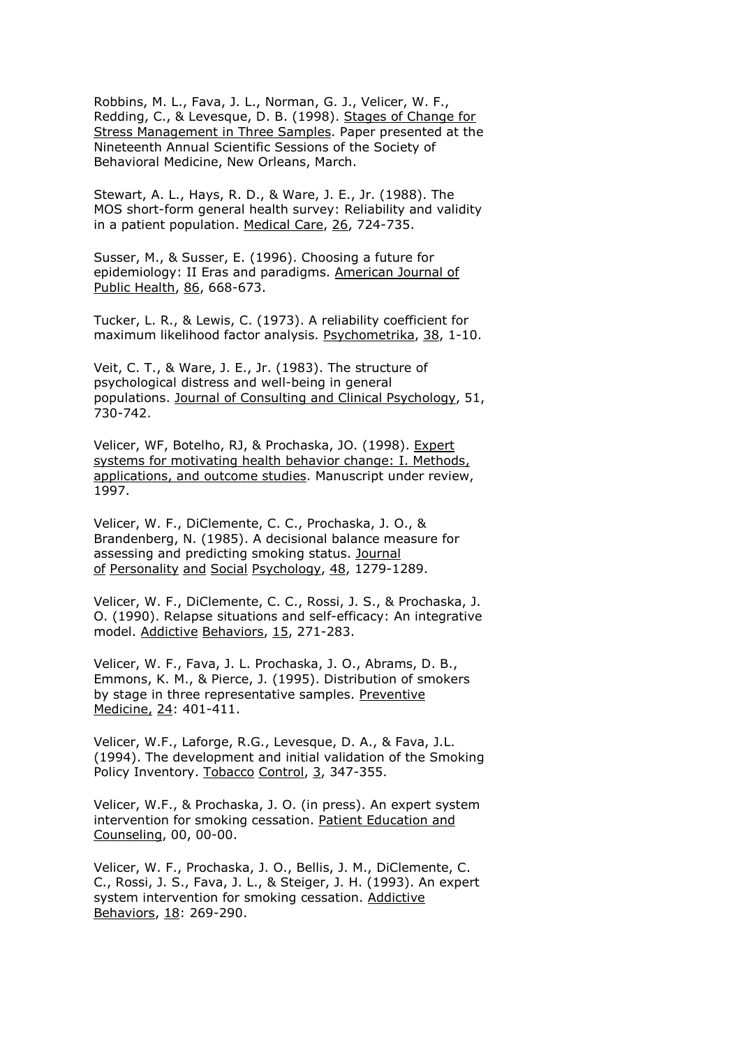Robbins, M. L., Fava, J. L., Norman, G. J., Velicer, W. F., Redding, C., & Levesque, D. B. (1998). Stages of Change for Stress Management in Three Samples. Paper presented at the Nineteenth Annual Scientific Sessions of the Society of Behavioral Medicine, New Orleans, March.

Stewart, A. L., Hays, R. D., & Ware, J. E., Jr. (1988). The MOS short-form general health survey: Reliability and validity in a patient population. Medical Care, 26, 724-735.

Susser, M., & Susser, E. (1996). Choosing a future for epidemiology: II Eras and paradigms. American Journal of Public Health, 86, 668-673.

Tucker, L. R., & Lewis, C. (1973). A reliability coefficient for maximum likelihood factor analysis. Psychometrika, 38, 1-10.

Veit, C. T., & Ware, J. E., Jr. (1983). The structure of psychological distress and well-being in general populations. Journal of Consulting and Clinical Psychology, 51, 730-742.

Velicer, WF, Botelho, RJ, & Prochaska, JO. (1998). Expert systems for motivating health behavior change: I. Methods, applications, and outcome studies. Manuscript under review, 1997.

Velicer, W. F., DiClemente, C. C., Prochaska, J. O., & Brandenberg, N. (1985). A decisional balance measure for assessing and predicting smoking status. Journal of Personality and Social Psychology, 48, 1279-1289.

Velicer, W. F., DiClemente, C. C., Rossi, J. S., & Prochaska, J. O. (1990). Relapse situations and self-efficacy: An integrative model. Addictive Behaviors, 15, 271-283.

Velicer, W. F., Fava, J. L. Prochaska, J. O., Abrams, D. B., Emmons, K. M., & Pierce, J. (1995). Distribution of smokers by stage in three representative samples. Preventive Medicine, 24: 401-411.

Velicer, W.F., Laforge, R.G., Levesque, D. A., & Fava, J.L. (1994). The development and initial validation of the Smoking Policy Inventory. Tobacco Control, 3, 347-355.

Velicer, W.F., & Prochaska, J. O. (in press). An expert system intervention for smoking cessation. Patient Education and Counseling, 00, 00-00.

Velicer, W. F., Prochaska, J. O., Bellis, J. M., DiClemente, C. C., Rossi, J. S., Fava, J. L., & Steiger, J. H. (1993). An expert system intervention for smoking cessation. Addictive Behaviors, 18: 269-290.